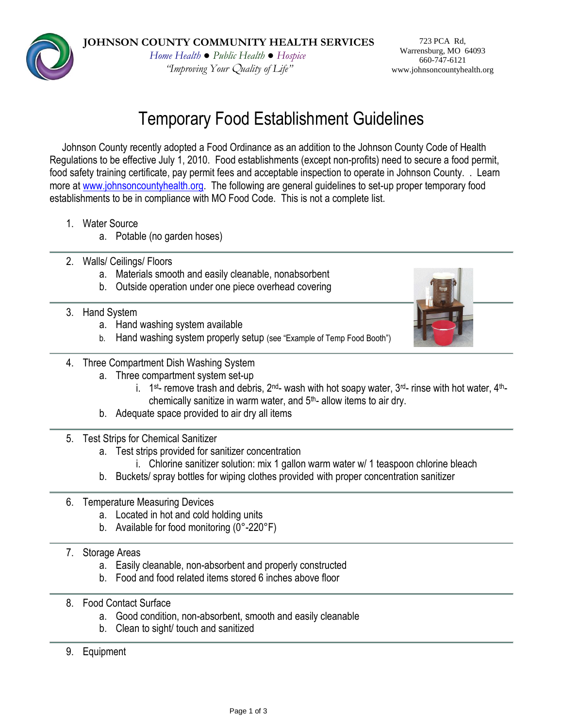**JOHNSON COUNTY COMMUNITY HEALTH SERVICES**

*Home Health ● Public Health ● Hospice "Improving Your* Q*uality of Life"*

723 PCA Rd, Warrensburg, MO 64093 660-747-6121 www.johnsoncountyhealth.org

# Temporary Food Establishment Guidelines

Johnson County recently adopted a Food Ordinance as an addition to the Johnson County Code of Health Regulations to be effective July 1, 2010. Food establishments (except non-profits) need to secure a food permit, food safety training certificate, pay permit fees and acceptable inspection to operate in Johnson County. . Learn more at [www.johnsoncountyhealth.org.](http://www.johnsoncountyhealth.org/) The following are general guidelines to set-up proper temporary food establishments to be in compliance with MO Food Code. This is not a complete list.

- 1. Water Source
	- a. Potable (no garden hoses)
- 2. Walls/ Ceilings/ Floors
	- a. Materials smooth and easily cleanable, nonabsorbent
	- b. Outside operation under one piece overhead covering
- 3. Hand System
	- a. Hand washing system available
	- b. Hand washing system properly setup (see "Example of Temp Food Booth")



- 4. Three Compartment Dish Washing System
	- a. Three compartment system set-up
		- i. 1<sup>st</sup>- remove trash and debris, 2<sup>nd</sup>- wash with hot soapy water, 3<sup>rd</sup>- rinse with hot water, 4<sup>th</sup>chemically sanitize in warm water, and 5th- allow items to air dry.
	- b. Adequate space provided to air dry all items
- 5. Test Strips for Chemical Sanitizer
	- a. Test strips provided for sanitizer concentration
		- i. Chlorine sanitizer solution: mix 1 gallon warm water w/ 1 teaspoon chlorine bleach
	- b. Buckets/ spray bottles for wiping clothes provided with proper concentration sanitizer
- 6. Temperature Measuring Devices
	- a. Located in hot and cold holding units
	- b. Available for food monitoring (0°-220°F)
- 7. Storage Areas
	- a. Easily cleanable, non-absorbent and properly constructed
	- b. Food and food related items stored 6 inches above floor
- 8. Food Contact Surface
	- a. Good condition, non-absorbent, smooth and easily cleanable
	- b. Clean to sight/ touch and sanitized
- 9. Equipment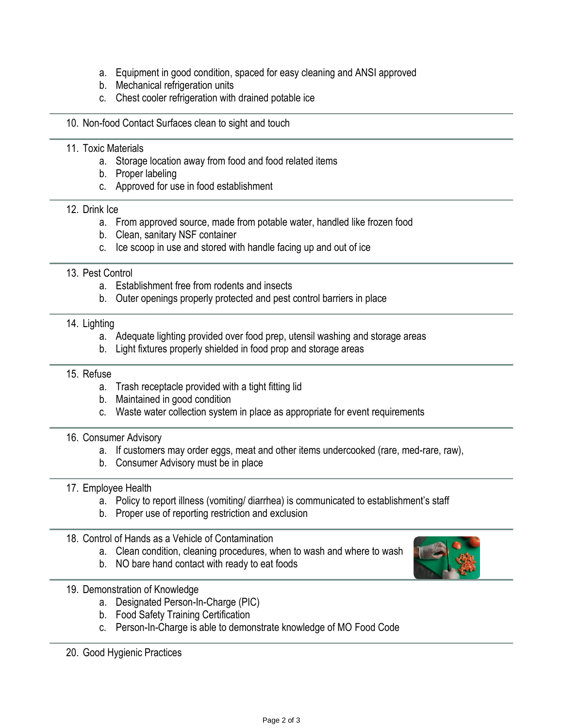- a. Equipment in good condition, spaced for easy cleaning and ANSI approved
- b. Mechanical refrigeration units
- c. Chest cooler refrigeration with drained potable ice

#### 10. Non-food Contact Surfaces clean to sight and touch

# 11. Toxic Materials

- a. Storage location away from food and food related items
- b. Proper labeling
- c. Approved for use in food establishment

#### 12. Drink Ice

- a. From approved source, made from potable water, handled like frozen food
- b. Clean, sanitary NSF container
- c. Ice scoop in use and stored with handle facing up and out of ice

## 13. Pest Control

- a. Establishment free from rodents and insects
- b. Outer openings properly protected and pest control barriers in place

#### 14. Lighting

- a. Adequate lighting provided over food prep, utensil washing and storage areas
- b. Light fixtures properly shielded in food prop and storage areas

#### 15. Refuse

- a. Trash receptacle provided with a tight fitting lid
- b. Maintained in good condition
- c. Waste water collection system in place as appropriate for event requirements

#### 16. Consumer Advisory

- a. If customers may order eggs, meat and other items undercooked (rare, med-rare, raw),
- b. Consumer Advisory must be in place

## 17. Employee Health

- a. Policy to report illness (vomiting/ diarrhea) is communicated to establishment's staff
- b. Proper use of reporting restriction and exclusion

#### 18. Control of Hands as a Vehicle of Contamination

- a. Clean condition, cleaning procedures, when to wash and where to wash
- b. NO bare hand contact with ready to eat foods



- a. Designated Person-In-Charge (PIC)
- b. Food Safety Training Certification
- c. Person-In-Charge is able to demonstrate knowledge of MO Food Code
- 20. Good Hygienic Practices